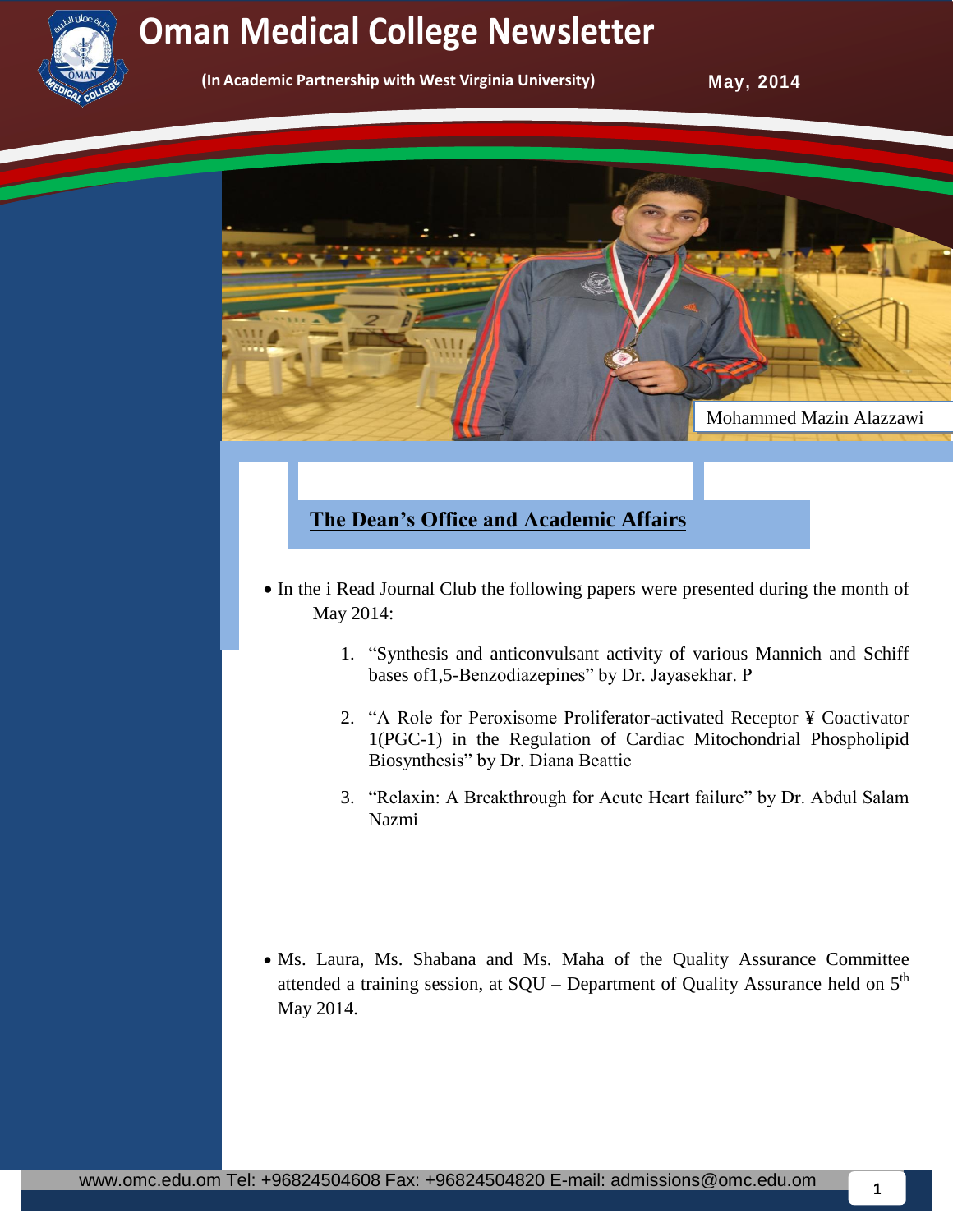

# **Newsletter Oman Medical College Newsletter Service College Oman Medical College Newsletter**

**(In Academic Partnership with West Virginia University)** 

**May, 2014** 



# **The Dean's Office and Academic Affairs**

- In the i Read Journal Club the following papers were presented during the month of May 2014:
	- 1. "Synthesis and anticonvulsant activity of various Mannich and Schiff bases of1,5-Benzodiazepines" by Dr. Jayasekhar. P
	- 2. "A Role for Peroxisome Proliferator-activated Receptor ¥ Coactivator 1(PGC-1) in the Regulation of Cardiac Mitochondrial Phospholipid Biosynthesis" by Dr. Diana Beattie
	- 3. "Relaxin: A Breakthrough for Acute Heart failure" by Dr. Abdul Salam Nazmi
- Ms. Laura, Ms. Shabana and Ms. Maha of the Quality Assurance Committee attended a training session, at  $SQU - Department$  of Quality Assurance held on  $5<sup>th</sup>$ May 2014.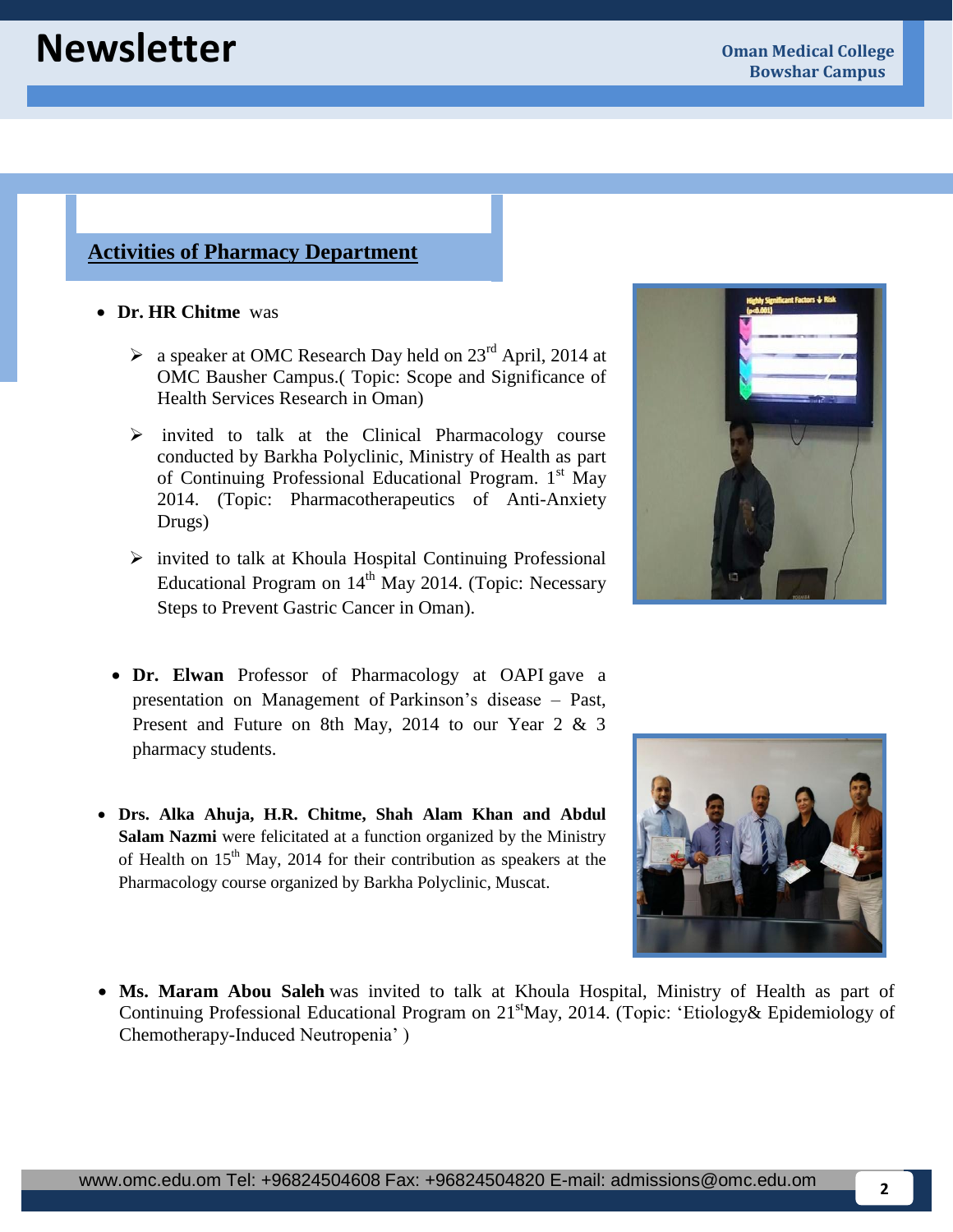## **Activities of Pharmacy Department**

- **Dr. HR Chitme** was
	- $\triangleright$  a speaker at OMC Research Day held on 23<sup>rd</sup> April, 2014 at OMC Bausher Campus.( Topic: Scope and Significance of Health Services Research in Oman)
	- $\triangleright$  invited to talk at the Clinical Pharmacology course conducted by Barkha Polyclinic, Ministry of Health as part of Continuing Professional Educational Program. 1<sup>st</sup> May 2014. (Topic: Pharmacotherapeutics of Anti-Anxiety Drugs)
	- $\triangleright$  invited to talk at Khoula Hospital Continuing Professional Educational Program on  $14<sup>th</sup>$  May 2014. (Topic: Necessary Steps to Prevent Gastric Cancer in Oman).
	- **Dr. Elwan** Professor of Pharmacology at OAPI gave a presentation on Management of Parkinson's disease – Past, Present and Future on 8th May, 2014 to our Year 2 & 3 pharmacy students.
- **Drs. Alka Ahuja, H.R. Chitme, Shah Alam Khan and Abdul** of Health on  $15<sup>th</sup>$  May, 2014 for their contribution as speakers at the **Salam Nazmi** were felicitated at a function organized by the Ministry Pharmacology course organized by Barkha Polyclinic, Muscat.
	- **Ms. Maram Abou Saleh** was invited to talk at Khoula Hospital, Ministry of Health as part of Continuing Professional Educational Program on 21<sup>st</sup>May, 2014. (Topic: 'Etiology& Epidemiology of Chemotherapy-Induced Neutropenia' )



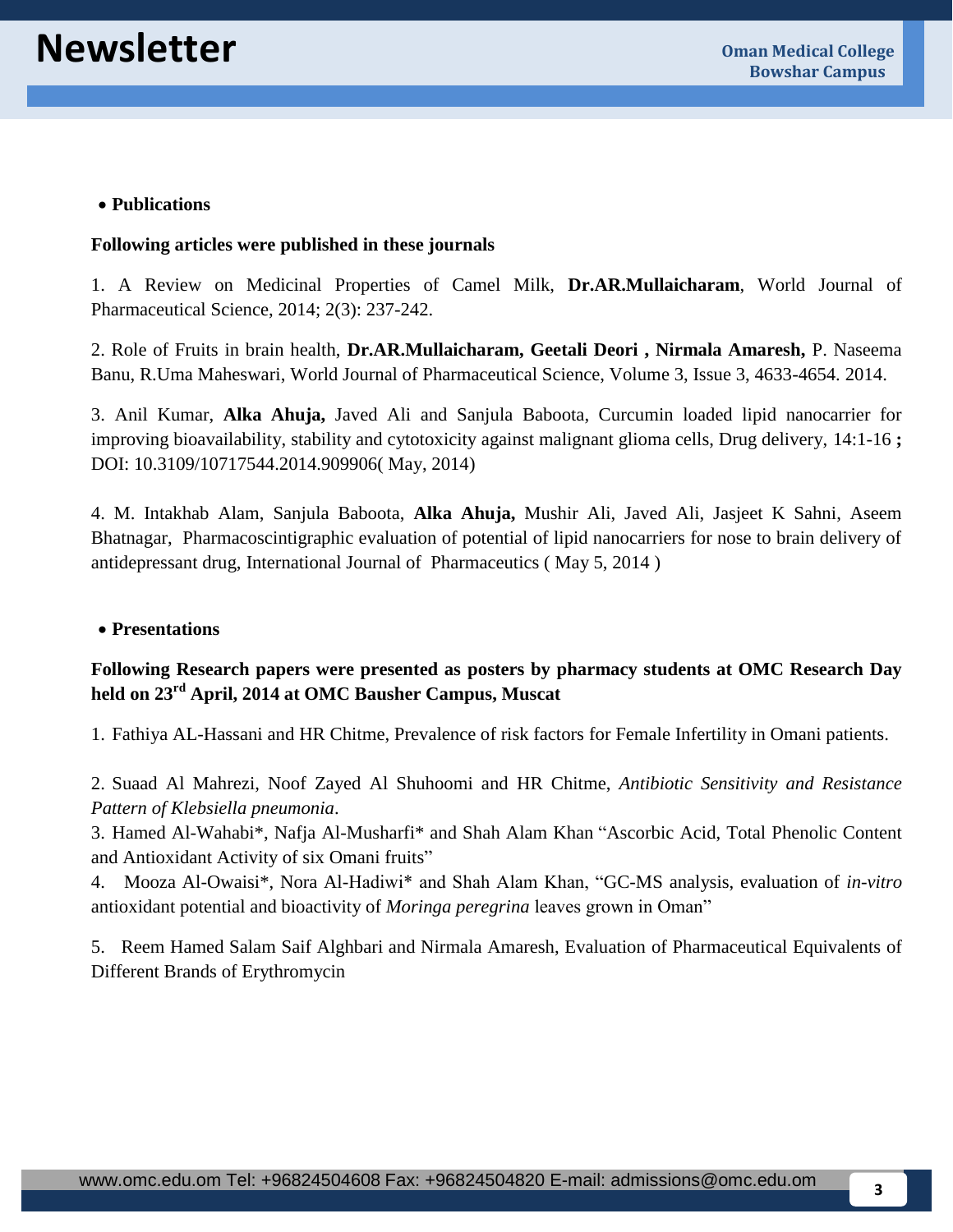#### **Publications**

#### **Following articles were published in these journals**

1. A Review on Medicinal Properties of Camel Milk, **Dr.AR.Mullaicharam**, World Journal of Pharmaceutical Science, 2014; 2(3): 237-242.

2. Role of Fruits in brain health, **Dr.AR.Mullaicharam, Geetali Deori , Nirmala Amaresh,** P. Naseema Banu, R.Uma Maheswari, World Journal of Pharmaceutical Science, Volume 3, Issue 3, 4633-4654. 2014.

3. Anil Kumar, **Alka Ahuja,** Javed Ali and Sanjula Baboota, Curcumin loaded lipid nanocarrier for improving bioavailability, stability and cytotoxicity against malignant glioma cells, Drug delivery, 14:1-16 **;**  DOI: 10.3109/10717544.2014.909906( May, 2014)

4. M. Intakhab Alam, Sanjula Baboota, **Alka Ahuja,** Mushir Ali, Javed Ali, Jasjeet K Sahni, Aseem Bhatnagar, Pharmacoscintigraphic evaluation of potential of lipid nanocarriers for nose to brain delivery of antidepressant drug, International Journal of Pharmaceutics ( May 5, 2014 )

#### **Presentations**

#### **Following Research papers were presented as posters by pharmacy students at OMC Research Day held on 23rd April, 2014 at OMC Bausher Campus, Muscat**

1. Fathiya AL-Hassani and HR Chitme, Prevalence of risk factors for Female Infertility in Omani patients.

2. Suaad Al Mahrezi, Noof Zayed Al Shuhoomi and HR Chitme, *Antibiotic Sensitivity and Resistance Pattern of Klebsiella pneumonia*.

3. Hamed Al-Wahabi\*, Nafja Al-Musharfi\* and Shah Alam Khan "Ascorbic Acid, Total Phenolic Content and Antioxidant Activity of six Omani fruits"

4. Mooza Al-Owaisi\*, Nora Al-Hadiwi\* and Shah Alam Khan, "GC-MS analysis, evaluation of *in-vitro* antioxidant potential and bioactivity of *Moringa peregrina* leaves grown in Oman"

5. Reem Hamed Salam Saif Alghbari and Nirmala Amaresh, Evaluation of Pharmaceutical Equivalents of Different Brands of Erythromycin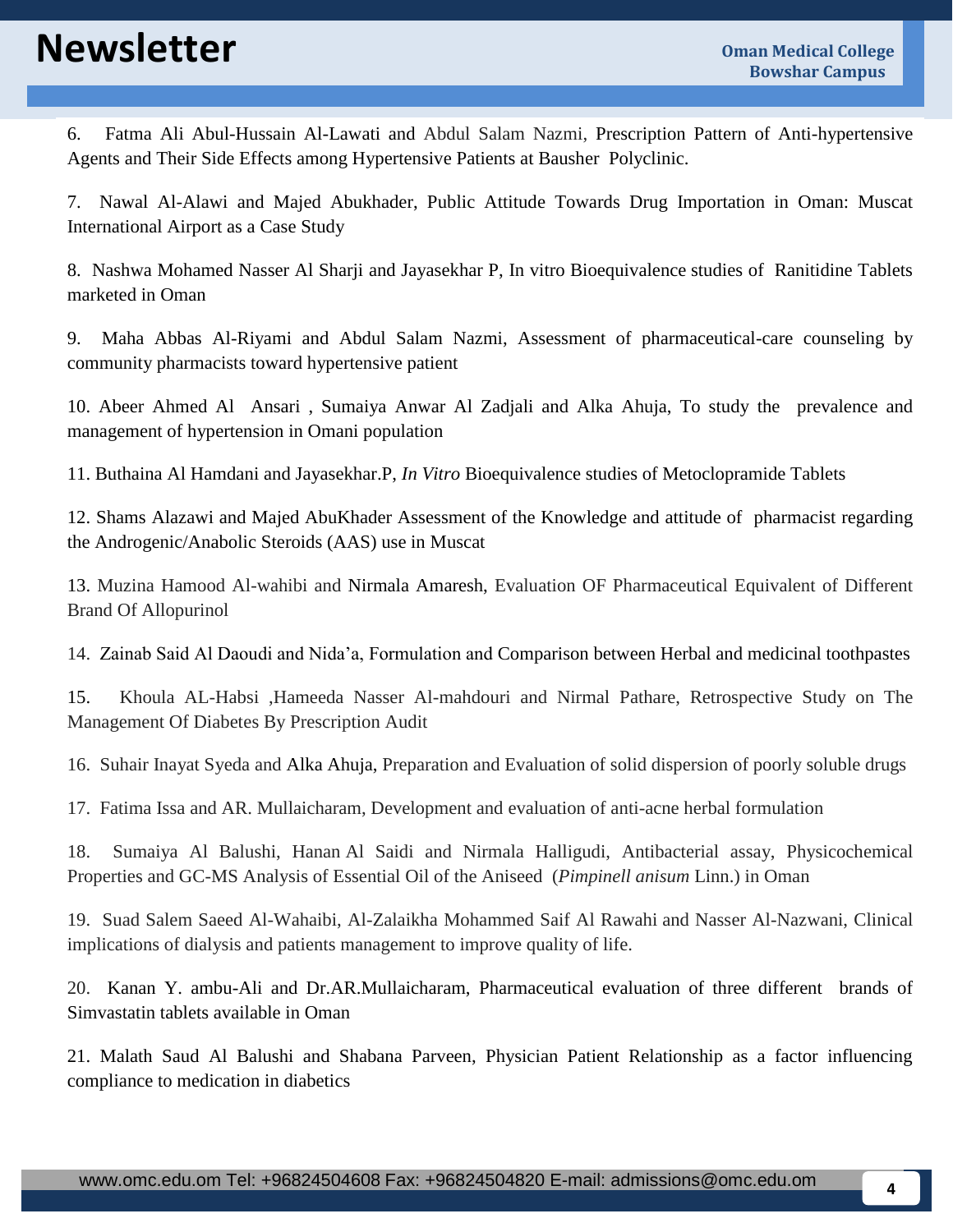# **Newsletter Oman Medical College**

6. Fatma Ali Abul-Hussain Al-Lawati and Abdul Salam Nazmi, Prescription Pattern of Anti-hypertensive Agents and Their Side Effects among Hypertensive Patients at Bausher Polyclinic.

7. Nawal Al-Alawi and Majed Abukhader, Public Attitude Towards Drug Importation in Oman: Muscat International Airport as a Case Study

8. Nashwa Mohamed Nasser Al Sharji and Jayasekhar P, In vitro Bioequivalence studies of Ranitidine Tablets marketed in Oman

9. Maha Abbas Al-Riyami and Abdul Salam Nazmi, Assessment of pharmaceutical-care counseling by community pharmacists toward hypertensive patient

10. Abeer Ahmed Al Ansari , Sumaiya Anwar Al Zadjali and Alka Ahuja, To study the prevalence and management of hypertension in Omani population

11. Buthaina Al Hamdani and Jayasekhar.P, *In Vitro* Bioequivalence studies of Metoclopramide Tablets

12. Shams Alazawi and Majed AbuKhader Assessment of the Knowledge and attitude of pharmacist regarding the Androgenic/Anabolic Steroids (AAS) use in Muscat

13. Muzina Hamood Al-wahibi and Nirmala Amaresh, Evaluation OF Pharmaceutical Equivalent of Different Brand Of Allopurinol

14. Zainab Said Al Daoudi and Nida'a, Formulation and Comparison between Herbal and medicinal toothpastes

15. Khoula AL-Habsi ,Hameeda Nasser Al-mahdouri and Nirmal Pathare, Retrospective Study on The Management Of Diabetes By Prescription Audit

16. Suhair Inayat Syeda and Alka Ahuja, Preparation and Evaluation of solid dispersion of poorly soluble drugs

17. Fatima Issa and AR. Mullaicharam, Development and evaluation of anti-acne herbal formulation

18. Sumaiya Al Balushi, Hanan Al Saidi and Nirmala Halligudi, Antibacterial assay, Physicochemical Properties and GC-MS Analysis of Essential Oil of the Aniseed (*Pimpinell anisum* Linn.) in Oman

19. Suad Salem Saeed Al-Wahaibi, Al-Zalaikha Mohammed Saif Al Rawahi and Nasser Al-Nazwani, Clinical implications of dialysis and patients management to improve quality of life.

20. Kanan Y. ambu-Ali and Dr.AR.Mullaicharam, Pharmaceutical evaluation of three different brands of Simvastatin tablets available in Oman

21. Malath Saud Al Balushi and Shabana Parveen, Physician Patient Relationship as a factor influencing compliance to medication in diabetics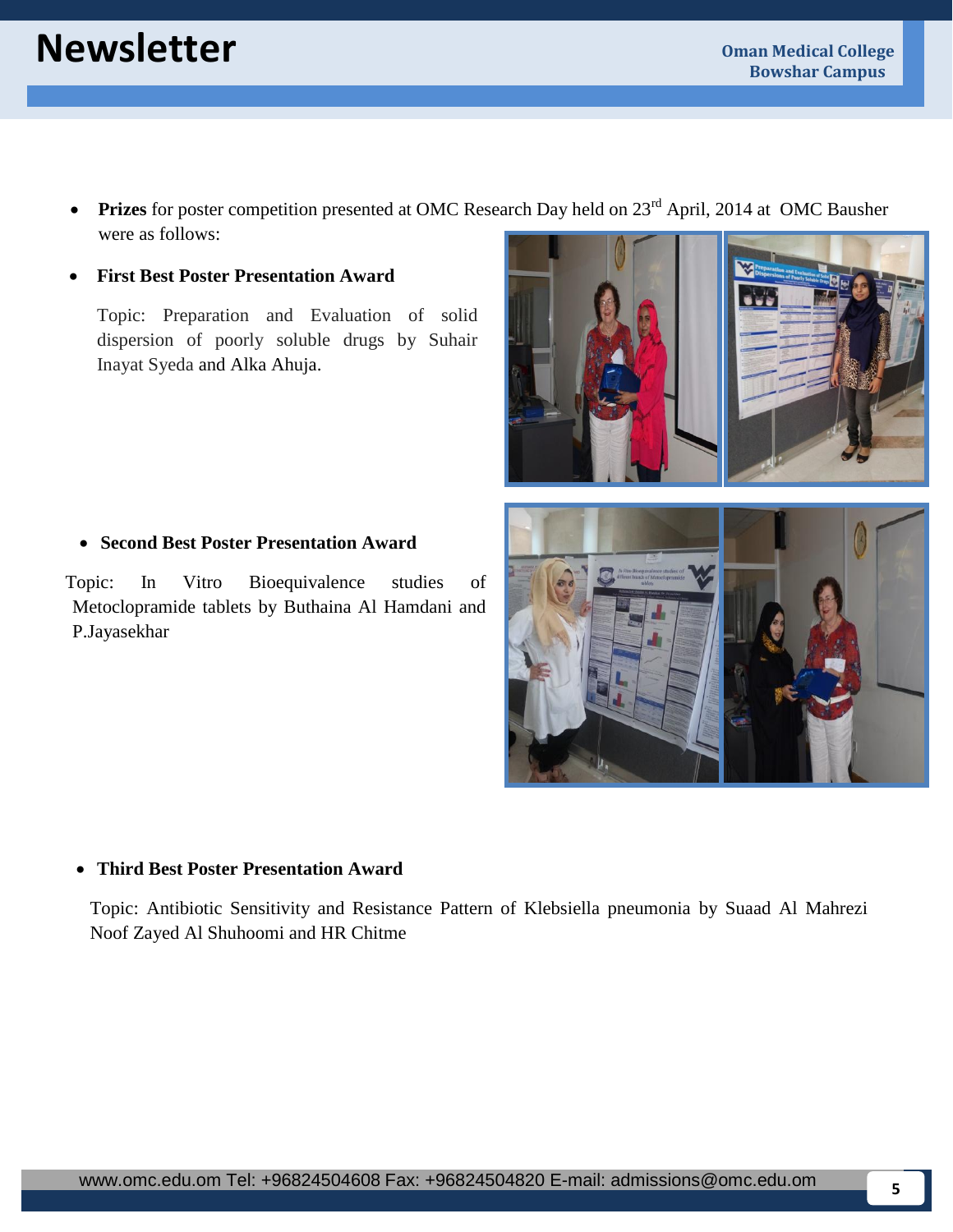# **Newsletter Oman Medical College**

• Prizes for poster competition presented at OMC Research Day held on 23<sup>rd</sup> April, 2014 at OMC Bausher were as follows:

#### **First Best Poster Presentation Award**

Topic: Preparation and Evaluation of solid dispersion of poorly soluble drugs by Suhair Inayat Syeda and Alka Ahuja.



#### **Second Best Poster Presentation Award**

Topic: In Vitro Bioequivalence studies of Metoclopramide tablets by Buthaina Al Hamdani and P.Jayasekhar

**Third Best Poster Presentation Award**

Topic: Antibiotic Sensitivity and Resistance Pattern of Klebsiella pneumonia by Suaad Al Mahrezi Noof Zayed Al Shuhoomi and HR Chitme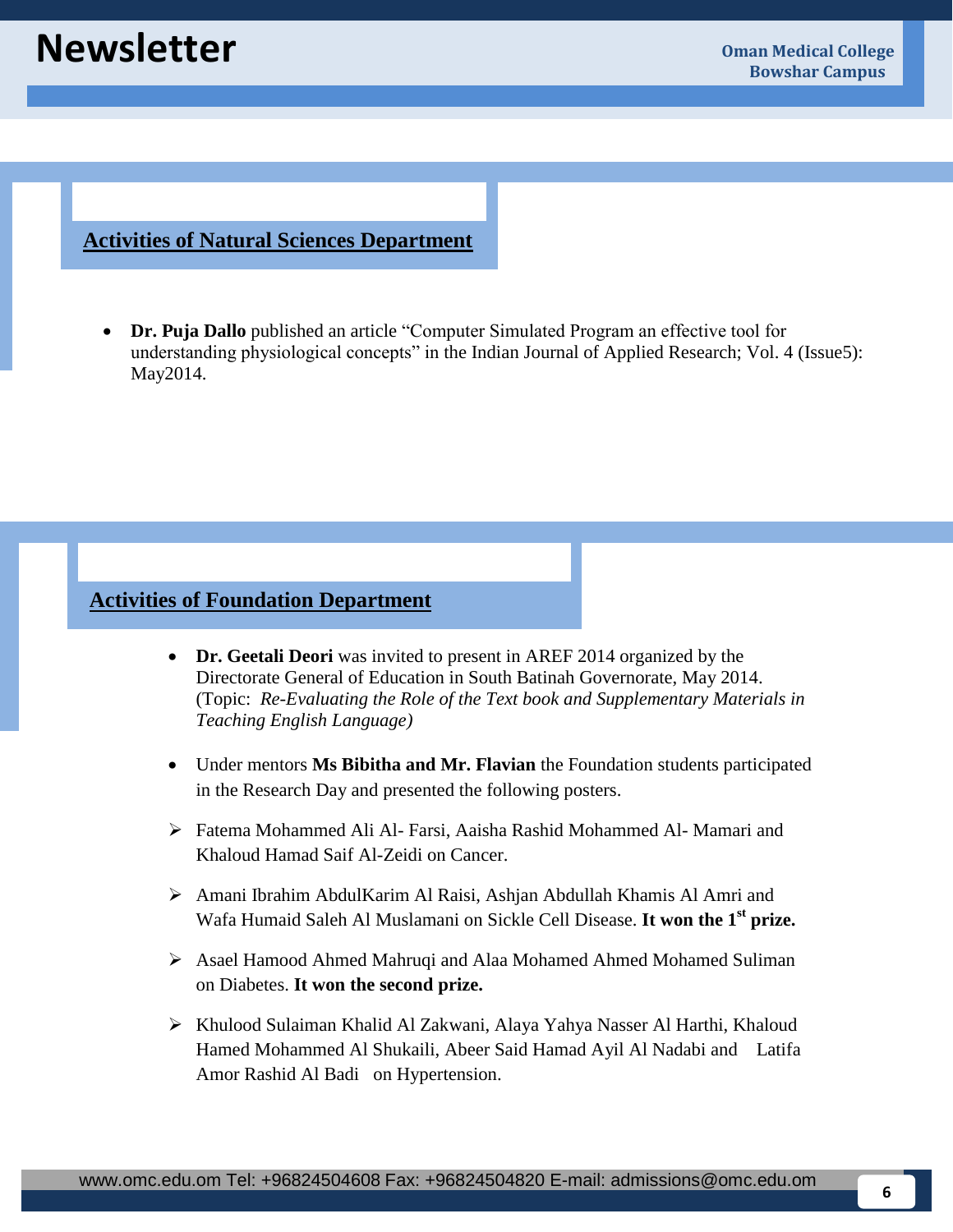### **Activities of Natural Sciences Department**

 **Dr. Puja Dallo** published an article "Computer Simulated Program an effective tool for understanding physiological concepts" in the Indian Journal of Applied Research; Vol. 4 (Issue5): May2014.

## **Activities of Foundation Department**

- **Dr. Geetali Deori** was invited to present in AREF 2014 organized by the Directorate General of Education in South Batinah Governorate, May 2014. (Topic: *Re-Evaluating the Role of the Text book and Supplementary Materials in Teaching English Language)*
- Under mentors **Ms Bibitha and Mr. Flavian** the Foundation students participated in the Research Day and presented the following posters.
- Fatema Mohammed Ali Al- Farsi, Aaisha Rashid Mohammed Al- Mamari and Khaloud Hamad Saif Al-Zeidi on Cancer.
- Amani Ibrahim AbdulKarim Al Raisi, Ashjan Abdullah Khamis Al Amri and Wafa Humaid Saleh Al Muslamani on Sickle Cell Disease. **It won the 1st prize.**
- Asael Hamood Ahmed Mahruqi and Alaa Mohamed Ahmed Mohamed Suliman on Diabetes. **It won the second prize.**
- Khulood Sulaiman Khalid Al Zakwani, Alaya Yahya Nasser Al Harthi, Khaloud Hamed Mohammed Al Shukaili, Abeer Said Hamad Ayil Al Nadabi and Latifa Amor Rashid Al Badi on Hypertension.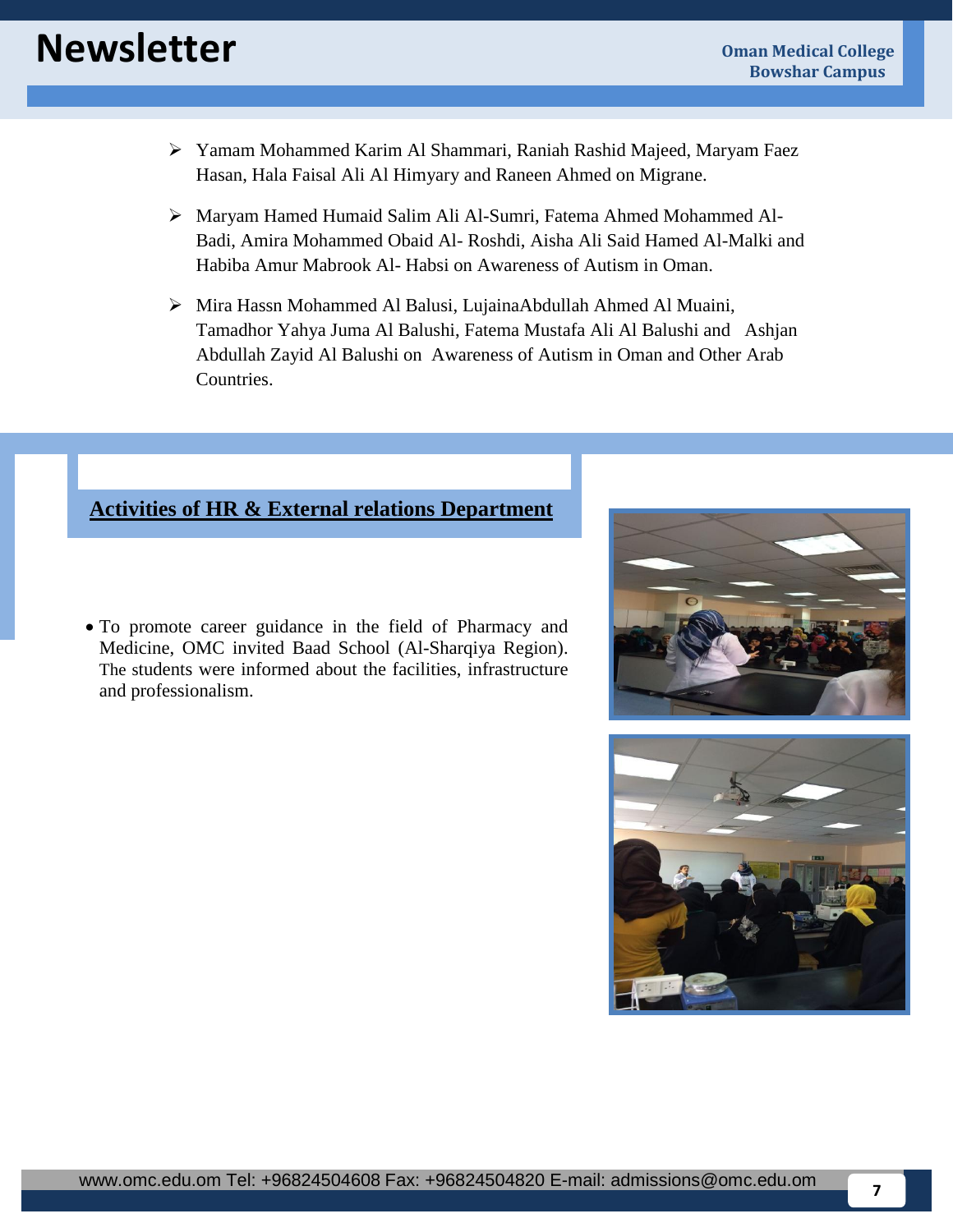- Yamam Mohammed Karim Al Shammari, Raniah Rashid Majeed, Maryam Faez Hasan, Hala Faisal Ali Al Himyary and Raneen Ahmed on Migrane.
- Maryam Hamed Humaid Salim Ali Al-Sumri, Fatema Ahmed Mohammed Al-Badi, Amira Mohammed Obaid Al- Roshdi, Aisha Ali Said Hamed Al-Malki and Habiba Amur Mabrook Al- Habsi on Awareness of Autism in Oman.
- Mira Hassn Mohammed Al Balusi, LujainaAbdullah Ahmed Al Muaini, Tamadhor Yahya Juma Al Balushi, Fatema Mustafa Ali Al Balushi and Ashjan Abdullah Zayid Al Balushi on Awareness of Autism in Oman and Other Arab Countries.

# **Activities of HR & External relations Department**

 To promote career guidance in the field of Pharmacy and Medicine, OMC invited Baad School (Al-Sharqiya Region). The students were informed about the facilities, infrastructure and professionalism.



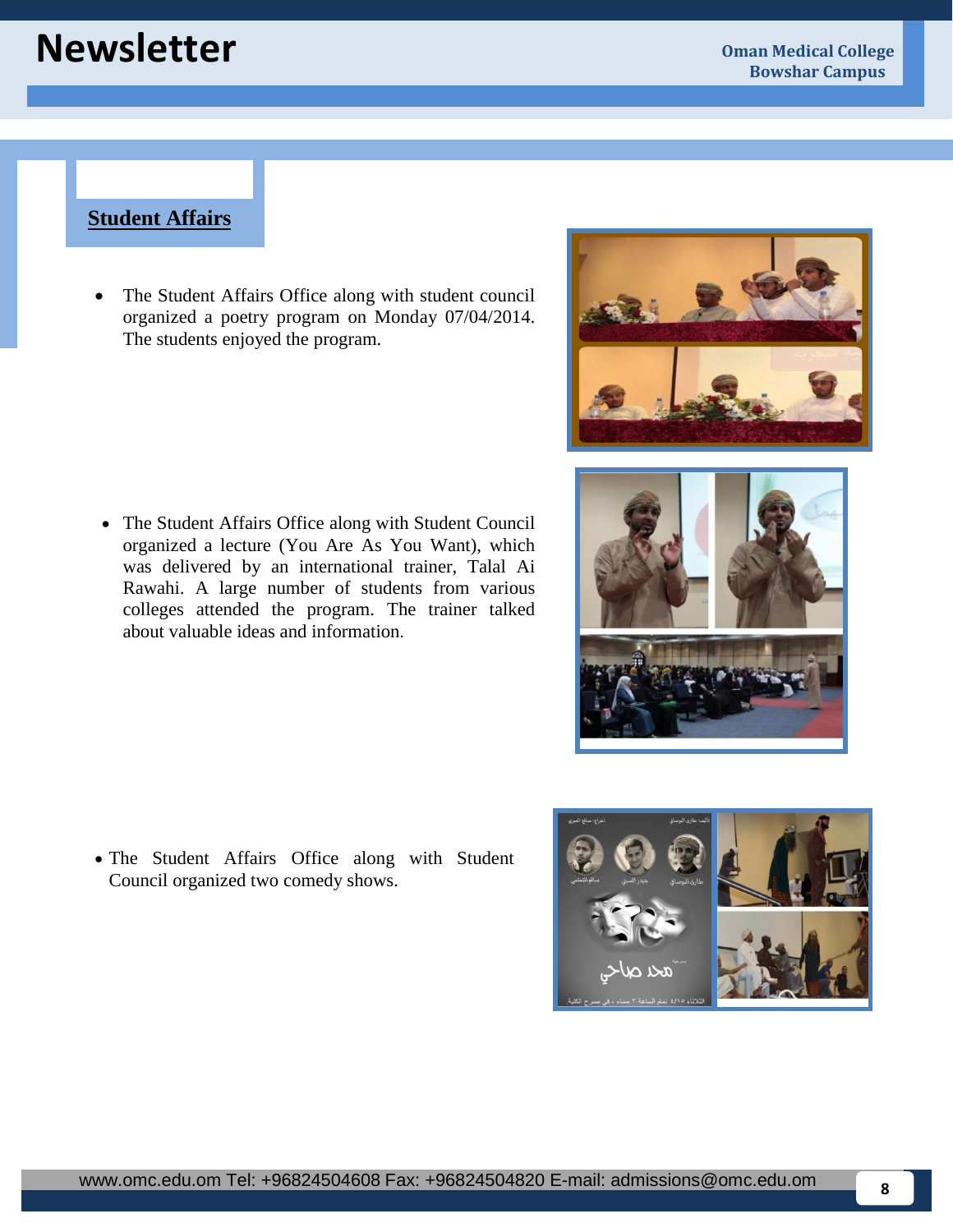# **Newsletter Oman Medical College**

## **Student Affairs**

• The Student Affairs Office along with student council organized a poetry program on Monday 07/04/2014. The students enjoyed the program.

- The Student Affairs Office along with Student Council organized a lecture (You Are As You Want), which was delivered by an international trainer, Talal Ai Rawahi. A large number of students from various colleges attended the program. The trainer talked about valuable ideas and information.
- 



 The Student Affairs Office along with Student Council organized two comedy shows.